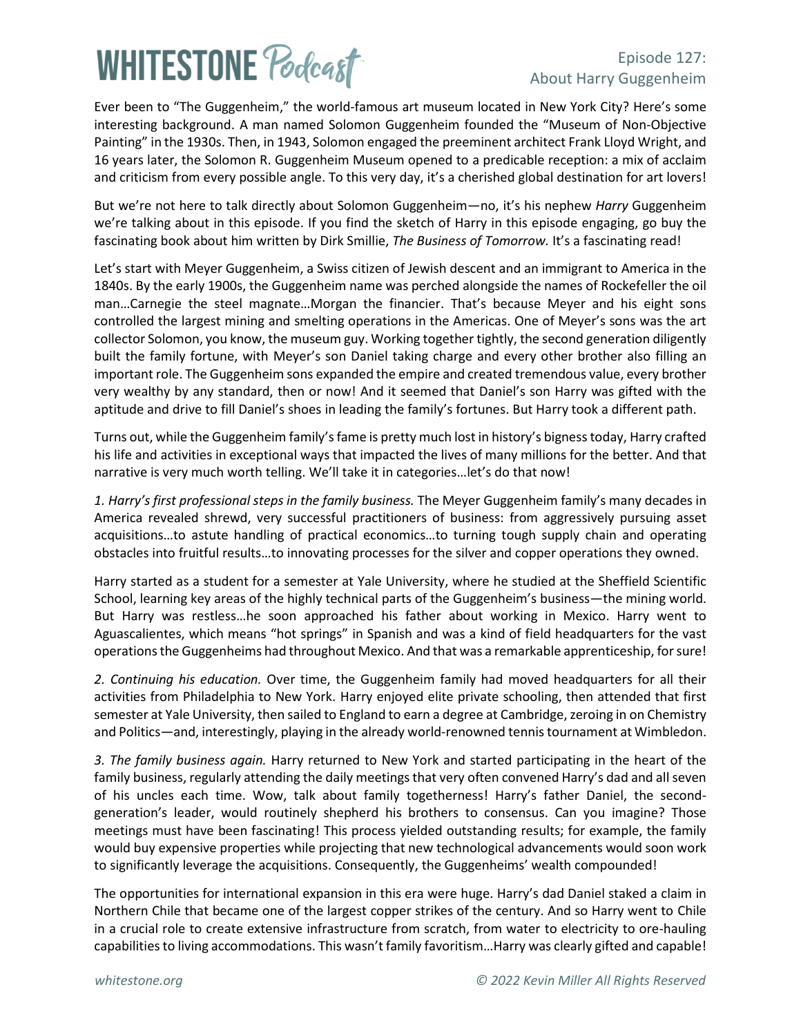# **WHITESTONE Poclast**

### Episode 127: About Harry Guggenheim

Ever been to "The Guggenheim," the world-famous art museum located in New York City? Here's some interesting background. A man named Solomon Guggenheim founded the "Museum of Non-Objective Painting" in the 1930s. Then, in 1943, Solomon engaged the preeminent architect Frank Lloyd Wright, and 16 years later, the Solomon R. Guggenheim Museum opened to a predicable reception: a mix of acclaim and criticism from every possible angle. To this very day, it's a cherished global destination for art lovers!

But we're not here to talk directly about Solomon Guggenheim—no, it's his nephew *Harry* Guggenheim we're talking about in this episode. If you find the sketch of Harry in this episode engaging, go buy the fascinating book about him written by Dirk Smillie, *The Business of Tomorrow.* It's a fascinating read!

Let's start with Meyer Guggenheim, a Swiss citizen of Jewish descent and an immigrant to America in the 1840s. By the early 1900s, the Guggenheim name was perched alongside the names of Rockefeller the oil man…Carnegie the steel magnate…Morgan the financier. That's because Meyer and his eight sons controlled the largest mining and smelting operations in the Americas. One of Meyer's sons was the art collector Solomon, you know, the museum guy. Working together tightly, the second generation diligently built the family fortune, with Meyer's son Daniel taking charge and every other brother also filling an important role. The Guggenheim sons expanded the empire and created tremendous value, every brother very wealthy by any standard, then or now! And it seemed that Daniel's son Harry was gifted with the aptitude and drive to fill Daniel's shoes in leading the family's fortunes. But Harry took a different path.

Turns out, while the Guggenheim family's fame is pretty much lost in history's bignesstoday, Harry crafted his life and activities in exceptional ways that impacted the lives of many millions for the better. And that narrative is very much worth telling. We'll take it in categories…let's do that now!

*1. Harry's first professional steps in the family business.* The Meyer Guggenheim family's many decades in America revealed shrewd, very successful practitioners of business: from aggressively pursuing asset acquisitions…to astute handling of practical economics…to turning tough supply chain and operating obstacles into fruitful results…to innovating processes for the silver and copper operations they owned.

Harry started as a student for a semester at Yale University, where he studied at the Sheffield Scientific School, learning key areas of the highly technical parts of the Guggenheim's business—the mining world. But Harry was restless…he soon approached his father about working in Mexico. Harry went to Aguascalientes, which means "hot springs" in Spanish and was a kind of field headquarters for the vast operations the Guggenheims had throughout Mexico. And that was a remarkable apprenticeship, for sure!

*2. Continuing his education.* Over time, the Guggenheim family had moved headquarters for all their activities from Philadelphia to New York. Harry enjoyed elite private schooling, then attended that first semester at Yale University, then sailed to England to earn a degree at Cambridge, zeroing in on Chemistry and Politics—and, interestingly, playing in the already world-renowned tennis tournament at Wimbledon.

*3. The family business again.* Harry returned to New York and started participating in the heart of the family business, regularly attending the daily meetings that very often convened Harry's dad and all seven of his uncles each time. Wow, talk about family togetherness! Harry's father Daniel, the secondgeneration's leader, would routinely shepherd his brothers to consensus. Can you imagine? Those meetings must have been fascinating! This process yielded outstanding results; for example, the family would buy expensive properties while projecting that new technological advancements would soon work to significantly leverage the acquisitions. Consequently, the Guggenheims' wealth compounded!

The opportunities for international expansion in this era were huge. Harry's dad Daniel staked a claim in Northern Chile that became one of the largest copper strikes of the century. And so Harry went to Chile in a crucial role to create extensive infrastructure from scratch, from water to electricity to ore-hauling capabilities to living accommodations. This wasn't family favoritism…Harry was clearly gifted and capable!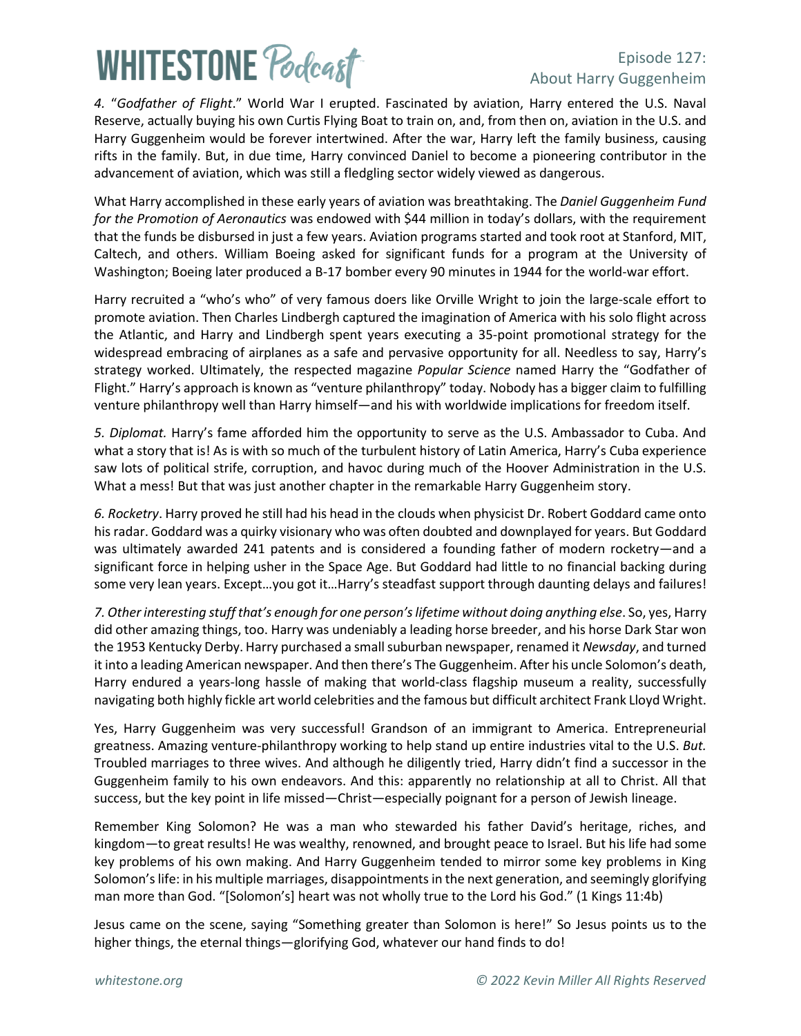## **WHITESTONE Poclast**

### Episode 127: About Harry Guggenheim

*4.* "*Godfather of Flight*." World War I erupted. Fascinated by aviation, Harry entered the U.S. Naval Reserve, actually buying his own Curtis Flying Boat to train on, and, from then on, aviation in the U.S. and Harry Guggenheim would be forever intertwined. After the war, Harry left the family business, causing rifts in the family. But, in due time, Harry convinced Daniel to become a pioneering contributor in the advancement of aviation, which was still a fledgling sector widely viewed as dangerous.

What Harry accomplished in these early years of aviation was breathtaking. The *Daniel Guggenheim Fund for the Promotion of Aeronautics* was endowed with \$44 million in today's dollars, with the requirement that the funds be disbursed in just a few years. Aviation programs started and took root at Stanford, MIT, Caltech, and others. William Boeing asked for significant funds for a program at the University of Washington; Boeing later produced a B-17 bomber every 90 minutes in 1944 for the world-war effort.

Harry recruited a "who's who" of very famous doers like Orville Wright to join the large-scale effort to promote aviation. Then Charles Lindbergh captured the imagination of America with his solo flight across the Atlantic, and Harry and Lindbergh spent years executing a 35-point promotional strategy for the widespread embracing of airplanes as a safe and pervasive opportunity for all. Needless to say, Harry's strategy worked. Ultimately, the respected magazine *Popular Science* named Harry the "Godfather of Flight." Harry's approach is known as "venture philanthropy" today. Nobody has a bigger claim to fulfilling venture philanthropy well than Harry himself—and his with worldwide implications for freedom itself.

*5. Diplomat.* Harry's fame afforded him the opportunity to serve as the U.S. Ambassador to Cuba. And what a story that is! As is with so much of the turbulent history of Latin America, Harry's Cuba experience saw lots of political strife, corruption, and havoc during much of the Hoover Administration in the U.S. What a mess! But that was just another chapter in the remarkable Harry Guggenheim story.

*6. Rocketry*. Harry proved he still had his head in the clouds when physicist Dr. Robert Goddard came onto his radar. Goddard was a quirky visionary who was often doubted and downplayed for years. But Goddard was ultimately awarded 241 patents and is considered a founding father of modern rocketry—and a significant force in helping usher in the Space Age. But Goddard had little to no financial backing during some very lean years. Except...you got it...Harry's steadfast support through daunting delays and failures!

*7. Other interesting stuff that's enough for one person'slifetime without doing anything else*. So, yes, Harry did other amazing things, too. Harry was undeniably a leading horse breeder, and his horse Dark Star won the 1953 Kentucky Derby. Harry purchased a small suburban newspaper, renamed it *Newsday*, and turned it into a leading American newspaper. And then there's The Guggenheim. After his uncle Solomon's death, Harry endured a years-long hassle of making that world-class flagship museum a reality, successfully navigating both highly fickle art world celebrities and the famous but difficult architect Frank Lloyd Wright.

Yes, Harry Guggenheim was very successful! Grandson of an immigrant to America. Entrepreneurial greatness. Amazing venture-philanthropy working to help stand up entire industries vital to the U.S. *But.*  Troubled marriages to three wives. And although he diligently tried, Harry didn't find a successor in the Guggenheim family to his own endeavors. And this: apparently no relationship at all to Christ. All that success, but the key point in life missed—Christ—especially poignant for a person of Jewish lineage.

Remember King Solomon? He was a man who stewarded his father David's heritage, riches, and kingdom—to great results! He was wealthy, renowned, and brought peace to Israel. But his life had some key problems of his own making. And Harry Guggenheim tended to mirror some key problems in King Solomon's life: in his multiple marriages, disappointments in the next generation, and seemingly glorifying man more than God. "[Solomon's] heart was not wholly true to the Lord his God." (1 Kings 11:4b)

Jesus came on the scene, saying "Something greater than Solomon is here!" So Jesus points us to the higher things, the eternal things—glorifying God, whatever our hand finds to do!